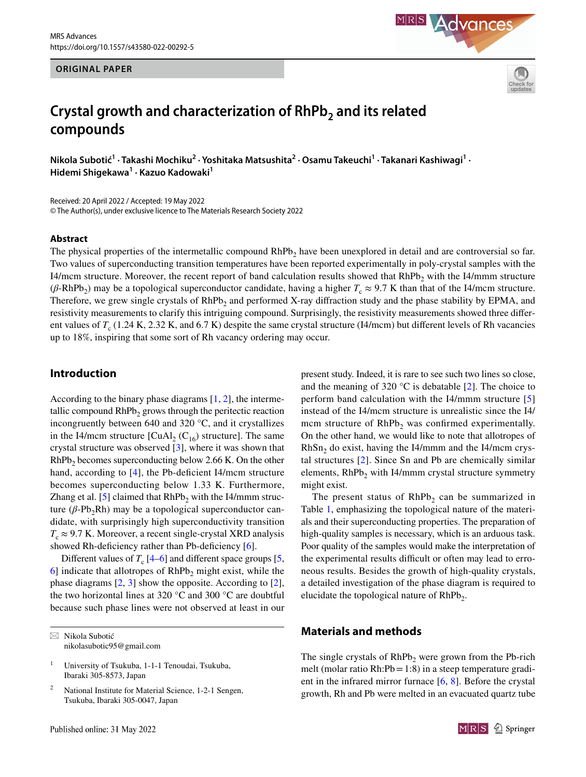#### **ORIGINAL PAPER**





# **Crystal growth and characterization of RhPb<sub>2</sub> and its related compounds**

**Nikola Subotić1 · Takashi Mochiku2 · Yoshitaka Matsushita2 · Osamu Takeuchi1 · Takanari Kashiwagi<sup>1</sup> · Hidemi Shigekawa1 · Kazuo Kadowaki<sup>1</sup>**

Received: 20 April 2022 / Accepted: 19 May 2022 © The Author(s), under exclusive licence to The Materials Research Society 2022

#### **Abstract**

The physical properties of the intermetallic compound  $RhPb<sub>2</sub>$  have been unexplored in detail and are controversial so far. Two values of superconducting transition temperatures have been reported experimentally in poly-crystal samples with the I4/mcm structure. Moreover, the recent report of band calculation results showed that RhPb<sub>2</sub> with the I4/mmm structure ( $\beta$ -RhPb<sub>2</sub>) may be a topological superconductor candidate, having a higher  $T_c \approx 9.7$  K than that of the I4/mcm structure. Therefore, we grew single crystals of  $RhPb<sub>2</sub>$  and performed X-ray diffraction study and the phase stability by EPMA, and resistivity measurements to clarify this intriguing compound. Surprisingly, the resistivity measurements showed three diferent values of  $T_c$  (1.24 K, 2.32 K, and 6.7 K) despite the same crystal structure (I4/mcm) but different levels of Rh vacancies up to 18%, inspiring that some sort of Rh vacancy ordering may occur.

## **Introduction**

According to the binary phase diagrams [[1,](#page-4-0) [2\]](#page-4-1), the intermetallic compound  $RhPb<sub>2</sub>$  grows through the peritectic reaction incongruently between 640 and 320 °C, and it crystallizes in the I4/mcm structure  $\left[ \text{CuAl}_2 \left( \text{C}_{16} \right) \text{ structure} \right]$ . The same crystal structure was observed [[3\]](#page-4-2), where it was shown that  $RhPb<sub>2</sub>$  becomes superconducting below 2.66 K. On the other hand, according to  $[4]$  $[4]$  $[4]$ , the Pb-deficient I4/mcm structure becomes superconducting below 1.33 K. Furthermore, Zhang et al. [[5\]](#page-4-4) claimed that  $RhPb<sub>2</sub>$  with the I4/mmm structure ( $β$ -Pb<sub>2</sub>Rh) may be a topological superconductor candidate, with surprisingly high superconductivity transition  $T_c \approx 9.7$  K. Moreover, a recent single-crystal XRD analysis showed Rh-deficiency rather than Pb-deficiency [\[6\]](#page-4-5).

Different values of  $T_c$  [\[4](#page-4-3)[–6](#page-4-5)] and different space groups [[5,](#page-4-4)  $6$ ] indicate that allotropes of RhPb<sub>2</sub> might exist, while the phase diagrams [[2,](#page-4-1) [3](#page-4-2)] show the opposite. According to [\[2](#page-4-1)], the two horizontal lines at 320 °C and 300 °C are doubtful because such phase lines were not observed at least in our

 $\boxtimes$  Nikola Subotić nikolasubotic95@gmail.com present study. Indeed, it is rare to see such two lines so close, and the meaning of 320  $^{\circ}$ C is debatable [[2\]](#page-4-1). The choice to perform band calculation with the I4/mmm structure [[5\]](#page-4-4) instead of the I4/mcm structure is unrealistic since the I4/ mcm structure of  $RhPb<sub>2</sub>$  was confirmed experimentally. On the other hand, we would like to note that allotropes of  $RhSn<sub>2</sub>$  do exist, having the I4/mmm and the I4/mcm crystal structures [[2\]](#page-4-1). Since Sn and Pb are chemically similar elements,  $RhPb<sub>2</sub>$  with I4/mmm crystal structure symmetry might exist.

The present status of  $RhPb<sub>2</sub>$  can be summarized in Table [1,](#page-1-0) emphasizing the topological nature of the materials and their superconducting properties. The preparation of high-quality samples is necessary, which is an arduous task. Poor quality of the samples would make the interpretation of the experimental results difficult or often may lead to erroneous results. Besides the growth of high-quality crystals, a detailed investigation of the phase diagram is required to elucidate the topological nature of  $RhPb<sub>2</sub>$ .

## **Materials and methods**

The single crystals of  $RhPb$ <sub>2</sub> were grown from the Pb-rich melt (molar ratio Rh: $Pb = 1:8$ ) in a steep temperature gradient in the infrared mirror furnace  $[6, 8]$  $[6, 8]$  $[6, 8]$  $[6, 8]$  $[6, 8]$ . Before the crystal growth, Rh and Pb were melted in an evacuated quartz tube



<sup>1</sup> University of Tsukuba, 1-1-1 Tenoudai, Tsukuba, Ibaraki 305-8573, Japan

National Institute for Material Science, 1-2-1 Sengen, Tsukuba, Ibaraki 305-0047, Japan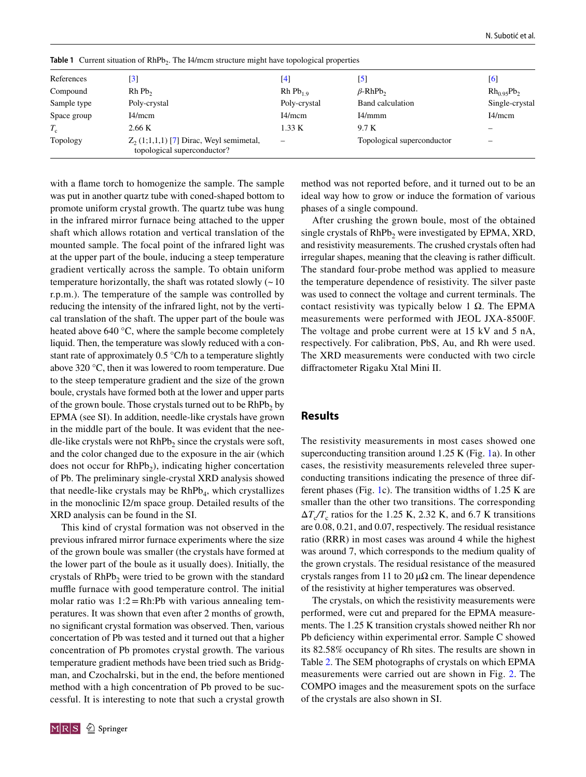| References  | $\lceil 3 \rceil$                                                         | [4]                  | $\mathbf{[5]}$             | [6]             |
|-------------|---------------------------------------------------------------------------|----------------------|----------------------------|-----------------|
| Compound    | Rh Pb <sub>2</sub>                                                        | Rh Pb <sub>1.0</sub> | $\beta$ -RhPb <sub>2</sub> | $Rh_{0.95}Pb_2$ |
| Sample type | Poly-crystal                                                              | Poly-crystal         | Band calculation           | Single-crystal  |
| Space group | I4/mcm                                                                    | I4/mcm               | I4/mmm                     | I4/mcm          |
| $T_{\rm c}$ | 2.66 K                                                                    | 1.33 K               | 9.7 K                      |                 |
| Topology    | $Z_2$ (1;1,1,1) [7] Dirac, Weyl semimetal,<br>topological superconductor? |                      | Topological superconductor |                 |

<span id="page-1-0"></span>**Table 1** Current situation of RhPb<sub>2</sub>. The I4/mcm structure might have topological properties

with a flame torch to homogenize the sample. The sample was put in another quartz tube with coned-shaped bottom to promote uniform crystal growth. The quartz tube was hung in the infrared mirror furnace being attached to the upper shaft which allows rotation and vertical translation of the mounted sample. The focal point of the infrared light was at the upper part of the boule, inducing a steep temperature gradient vertically across the sample. To obtain uniform temperature horizontally, the shaft was rotated slowly  $($   $\sim$  10 r.p.m.). The temperature of the sample was controlled by reducing the intensity of the infrared light, not by the vertical translation of the shaft. The upper part of the boule was heated above 640 °C, where the sample become completely liquid. Then, the temperature was slowly reduced with a constant rate of approximately 0.5 °C/h to a temperature slightly above 320 °C, then it was lowered to room temperature. Due to the steep temperature gradient and the size of the grown boule, crystals have formed both at the lower and upper parts of the grown boule. Those crystals turned out to be  $RhPb<sub>2</sub>$  by EPMA (see SI). In addition, needle-like crystals have grown in the middle part of the boule. It was evident that the needle-like crystals were not  $RhPb<sub>2</sub>$  since the crystals were soft, and the color changed due to the exposure in the air (which does not occur for RhPb<sub>2</sub>), indicating higher concertation of Pb. The preliminary single-crystal XRD analysis showed that needle-like crystals may be  $RhPb<sub>4</sub>$ , which crystallizes in the monoclinic I2/m space group. Detailed results of the XRD analysis can be found in the SI.

This kind of crystal formation was not observed in the previous infrared mirror furnace experiments where the size of the grown boule was smaller (the crystals have formed at the lower part of the boule as it usually does). Initially, the crystals of  $RhPb<sub>2</sub>$  were tried to be grown with the standard muffle furnace with good temperature control. The initial molar ratio was  $1:2 = Rh:Pb$  with various annealing temperatures. It was shown that even after 2 months of growth, no signifcant crystal formation was observed. Then, various concertation of Pb was tested and it turned out that a higher concentration of Pb promotes crystal growth. The various temperature gradient methods have been tried such as Bridgman, and Czochalrski, but in the end, the before mentioned method with a high concentration of Pb proved to be successful. It is interesting to note that such a crystal growth method was not reported before, and it turned out to be an ideal way how to grow or induce the formation of various phases of a single compound.

After crushing the grown boule, most of the obtained single crystals of  $RhPb<sub>2</sub>$  were investigated by EPMA, XRD, and resistivity measurements. The crushed crystals often had irregular shapes, meaning that the cleaving is rather difficult. The standard four-probe method was applied to measure the temperature dependence of resistivity. The silver paste was used to connect the voltage and current terminals. The contact resistivity was typically below 1 Ω. The EPMA measurements were performed with JEOL JXA-8500F. The voltage and probe current were at 15 kV and 5 nA, respectively. For calibration, PbS, Au, and Rh were used. The XRD measurements were conducted with two circle difractometer Rigaku Xtal Mini II.

### **Results**

The resistivity measurements in most cases showed one superconducting transition around 1.25 K (Fig. [1](#page-2-0)a). In other cases, the resistivity measurements releveled three superconducting transitions indicating the presence of three different phases (Fig. [1c](#page-2-0)). The transition widths of 1.25 K are smaller than the other two transitions. The corresponding  $\Delta T_c/T_c$  ratios for the 1.25 K, 2.32 K, and 6.7 K transitions are 0.08, 0.21, and 0.07, respectively. The residual resistance ratio (RRR) in most cases was around 4 while the highest was around 7, which corresponds to the medium quality of the grown crystals. The residual resistance of the measured crystals ranges from 11 to 20  $\mu\Omega$  cm. The linear dependence of the resistivity at higher temperatures was observed.

The crystals, on which the resistivity measurements were performed, were cut and prepared for the EPMA measurements. The 1.25 K transition crystals showed neither Rh nor Pb deficiency within experimental error. Sample C showed its 82.58% occupancy of Rh sites. The results are shown in Table [2.](#page-2-1) The SEM photographs of crystals on which EPMA measurements were carried out are shown in Fig. [2.](#page-3-0) The COMPO images and the measurement spots on the surface of the crystals are also shown in SI.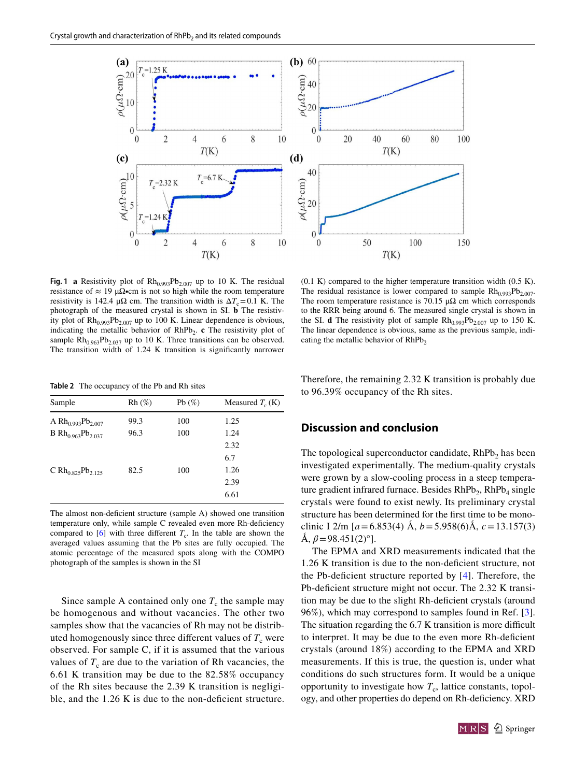

<span id="page-2-0"></span>**Fig. 1 a** Resistivity plot of  $Rh_{0.993}Pb_{2.007}$  up to 10 K. The residual resistance of  $\approx 19 \mu\Omega$ •cm is not so high while the room temperature resistivity is 142.4  $\mu\Omega$  cm. The transition width is  $\Delta T_c = 0.1$  K. The photograph of the measured crystal is shown in SI. **b** The resistivity plot of  $Rh_{0.993}Pb_{2.007}$  up to 100 K. Linear dependence is obvious, indicating the metallic behavior of RhPb<sub>2</sub>. **c** The resistivity plot of sample  $Rh_{0.963}Pb_{2.037}$  up to 10 K. Three transitions can be observed. The transition width of 1.24 K transition is significantly narrower

<span id="page-2-1"></span>**Table 2** The occupancy of the Pb and Rh sites

| Sample                                           | $Rh (\%)$ | Pb $(\%)$ | Measured $T_c$ (K) |
|--------------------------------------------------|-----------|-----------|--------------------|
| A Rh <sub>0.993</sub> Pb <sub>2.007</sub>        | 99.3      | 100       | 1.25               |
| <b>B</b> Rh <sub>0.963</sub> Pb <sub>2.037</sub> | 96.3      | 100       | 1.24               |
|                                                  |           |           | 2.32               |
|                                                  |           |           | 6.7                |
| C Rh <sub>0.825</sub> Pb <sub>2.125</sub>        | 82.5      | 100       | 1.26               |
|                                                  |           |           | 2.39               |
|                                                  |           |           | 6.61               |
|                                                  |           |           |                    |

The almost non-deficient structure (sample A) showed one transition temperature only, while sample C revealed even more Rh-deficiency compared to  $[6]$  $[6]$  with three different  $T_c$ . In the table are shown the averaged values assuming that the Pb sites are fully occupied. The atomic percentage of the measured spots along with the COMPO photograph of the samples is shown in the SI

Since sample A contained only one  $T_c$  the sample may be homogenous and without vacancies. The other two samples show that the vacancies of Rh may not be distributed homogenously since three different values of  $T_c$  were observed. For sample C, if it is assumed that the various values of  $T_c$  are due to the variation of Rh vacancies, the 6.61 K transition may be due to the 82.58% occupancy of the Rh sites because the 2.39 K transition is negligible, and the 1.26 K is due to the non-deficient structure.

 $(0.1 K)$  compared to the higher temperature transition width  $(0.5 K)$ . The residual resistance is lower compared to sample  $Rh_{0.993}Pb_{2.007}$ . The room temperature resistance is 70.15  $\mu\Omega$  cm which corresponds to the RRR being around 6. The measured single crystal is shown in the SI. **d** The resistivity plot of sample  $Rh_{0.993}Pb_{2.007}$  up to 150 K. The linear dependence is obvious, same as the previous sample, indicating the metallic behavior of  $RhPb<sub>2</sub>$ 

Therefore, the remaining 2.32 K transition is probably due to 96.39% occupancy of the Rh sites.

## **Discussion and conclusion**

The topological superconductor candidate, RhPb<sub>2</sub> has been investigated experimentally. The medium-quality crystals were grown by a slow-cooling process in a steep temperature gradient infrared furnace. Besides  $RhPb_2$ ,  $RhPb_4$  single crystals were found to exist newly. Its preliminary crystal structure has been determined for the frst time to be monoclinic I 2/m  $[a=6.853(4)$  Å,  $b=5.958(6)$ Å,  $c=13.157(3)$  $\hat{A}, \beta = 98.451(2)^\circ$ .

The EPMA and XRD measurements indicated that the 1.26 K transition is due to the non-defcient structure, not the Pb-defcient structure reported by [[4\]](#page-4-3). Therefore, the Pb-deficient structure might not occur. The 2.32 K transition may be due to the slight Rh-defcient crystals (around 96%), which may correspond to samples found in Ref. [\[3](#page-4-2)]. The situation regarding the 6.7 K transition is more difficult to interpret. It may be due to the even more Rh-defcient crystals (around 18%) according to the EPMA and XRD measurements. If this is true, the question is, under what conditions do such structures form. It would be a unique opportunity to investigate how  $T_c$ , lattice constants, topology, and other properties do depend on Rh-defciency. XRD

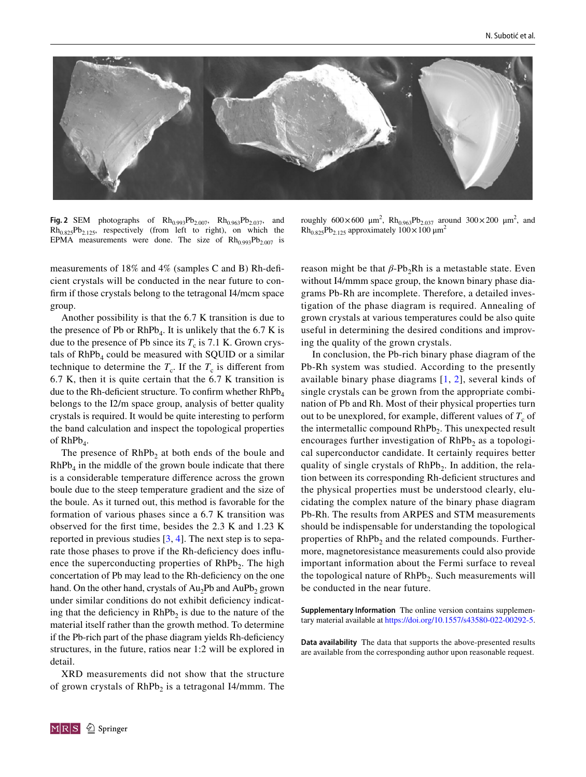

<span id="page-3-0"></span>**Fig. 2** SEM photographs of  $Rh_{0.993}Pb_{2.007}$ ,  $Rh_{0.963}Pb_{2.037}$ , and  $Rh_{0.825}Pb_{2.125}$ , respectively (from left to right), on which the EPMA measurements were done. The size of  $Rh_{0.993}Pb_{2.007}$  is

measurements of 18% and 4% (samples C and B) Rh-defcient crystals will be conducted in the near future to confrm if those crystals belong to the tetragonal I4/mcm space group.

Another possibility is that the 6.7 K transition is due to the presence of Pb or  $RhPb_4$ . It is unlikely that the 6.7 K is due to the presence of Pb since its  $T_c$  is 7.1 K. Grown crystals of  $RhPb<sub>4</sub>$  could be measured with SQUID or a similar technique to determine the  $T_c$ . If the  $T_c$  is different from 6.7 K, then it is quite certain that the 6.7 K transition is due to the Rh-deficient structure. To confirm whether  $RhPb<sub>4</sub>$ belongs to the I2/m space group, analysis of better quality crystals is required. It would be quite interesting to perform the band calculation and inspect the topological properties of  $RhPb<sub>4</sub>$ .

The presence of  $RhPb<sub>2</sub>$  at both ends of the boule and  $RhPb<sub>4</sub>$  in the middle of the grown boule indicate that there is a considerable temperature diference across the grown boule due to the steep temperature gradient and the size of the boule. As it turned out, this method is favorable for the formation of various phases since a 6.7 K transition was observed for the frst time, besides the 2.3 K and 1.23 K reported in previous studies  $[3, 4]$  $[3, 4]$  $[3, 4]$  $[3, 4]$ . The next step is to separate those phases to prove if the Rh-deficiency does influence the superconducting properties of  $RhPb<sub>2</sub>$ . The high concertation of Pb may lead to the Rh-defciency on the one hand. On the other hand, crystals of  $Au_2Pb$  and  $AuPb_2$  grown under similar conditions do not exhibit defciency indicating that the deficiency in  $RhPb<sub>2</sub>$  is due to the nature of the material itself rather than the growth method. To determine if the Pb-rich part of the phase diagram yields Rh-defciency structures, in the future, ratios near 1:2 will be explored in detail.

XRD measurements did not show that the structure of grown crystals of  $RhPb<sub>2</sub>$  is a tetragonal I4/mmm. The

roughly  $600 \times 600 \mu m^2$ ,  $Rh_{0.963}Pb_{2.037}$  around  $300 \times 200 \mu m^2$ , and  $Rh_{0.825}Pb_{2.125}$  approximately  $100 \times 100 \mu m^2$ 

reason might be that  $β$ -Pb<sub>2</sub>Rh is a metastable state. Even without I4/mmm space group, the known binary phase diagrams Pb-Rh are incomplete. Therefore, a detailed investigation of the phase diagram is required. Annealing of grown crystals at various temperatures could be also quite useful in determining the desired conditions and improving the quality of the grown crystals.

In conclusion, the Pb-rich binary phase diagram of the Pb-Rh system was studied. According to the presently available binary phase diagrams [[1,](#page-4-0) [2](#page-4-1)], several kinds of single crystals can be grown from the appropriate combination of Pb and Rh. Most of their physical properties turn out to be unexplored, for example, different values of  $T_c$  of the intermetallic compound  $RhPb<sub>2</sub>$ . This unexpected result encourages further investigation of  $RhPb<sub>2</sub>$  as a topological superconductor candidate. It certainly requires better quality of single crystals of  $RhPb<sub>2</sub>$ . In addition, the relation between its corresponding Rh-defcient structures and the physical properties must be understood clearly, elucidating the complex nature of the binary phase diagram Pb-Rh. The results from ARPES and STM measurements should be indispensable for understanding the topological properties of  $RhPb<sub>2</sub>$  and the related compounds. Furthermore, magnetoresistance measurements could also provide important information about the Fermi surface to reveal the topological nature of  $RhPb<sub>2</sub>$ . Such measurements will be conducted in the near future.

**Supplementary Information** The online version contains supplementary material available at<https://doi.org/10.1557/s43580-022-00292-5>.

**Data availability** The data that supports the above-presented results are available from the corresponding author upon reasonable request.